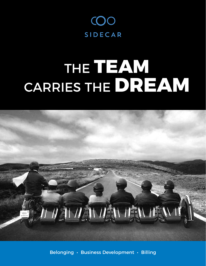

# THE **TEAM** CARRIES THE **DREAM**



Belonging • Business Development • Billing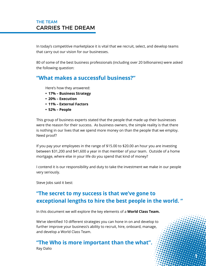#### THE TEAM CARRIES THE DREAM

In today's competitive marketplace it is vital that we recruit, select, and develop teams that carry out our vision for our businesses.

80 of some of the best business professionals (including over 20 billionaires) were asked the following question:

#### **"What makes a successful business?"**

Here's how they answered:

- **• 17% – Business Strategy**
- **• 20% – Execution**
- **• 11% – External Factors**
- **• 52% – People**

This group of business experts stated that the people that made up their businesses were the reason for their success. As business owners, the simple reality is that there is nothing in our lives that we spend more money on than the people that we employ. Need proof?

If you pay your employees in the range of \$15.00 to \$20.00 an hour you are investing between \$31,200 and \$41,600 a year in that member of your team. Outside of a home mortgage, where else in your life do you spend that kind of money?

I contend it is our responsibility and duty to take the investment we make in our people very seriously.

Steve Jobs said it best:

#### **"The secret to my success is that we've gone to exceptional lengths to hire the best people in the world. "**

 $\cdot 1$ 

In this document we will explore the key elements of a **World Class Team.**

We've identified 10 different strategies you can hone in on and develop to further improve your business's ability to recruit, hire, onboard, manage, and develop a World Class Team.

# **"The Who is more important than the what".**

Ray Dalio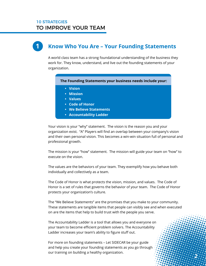#### **Know Who You Are – Your Founding Statements 1**

A world class team has a strong foundational understanding of the business they work for. They know, understand, and live out the founding statements of your organization.

 **The Founding Statements your business needs include your:** 

- **Vision**
- **Mission**
- **Values**
- **Code of Honor**
- **We Believe Statements**
- **Accountability Ladder**

Your vision is your "why" statement. The vision is the reason you and your organization exist. "A" Players will find an overlap between your company's vision and their own personal vision. This becomes a win-win situation full of personal and professional growth.

The mission is your "how" statement. The mission will guide your team on "how" to execute on the vision.

The values are the behaviors of your team. They exemplify how you behave both individually and collectively as a team.

The Code of Honor is what protects the vision, mission, and values. The Code of Honor is a set of rules that governs the behavior of your team. The Code of Honor protects your organization's culture.

The "We Believe Statements" are the promises that you make to your community. These statements are tangible items that people can visibly see and when executed on are the items that help to build trust with the people you serve.

 **2**

The Accountability Ladder is a tool that allows you and everyone on your team to become efficient problem solvers. The Accountability Ladder increases your team's ability to figure stuff out.

For more on founding statements – Let SIDECAR be your guide and help you create your founding statements as you go through our training on building a healthy organization.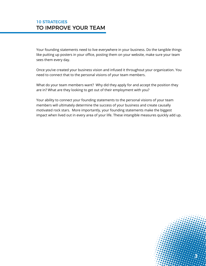Your founding statements need to live everywhere in your business. Do the tangible things like putting up posters in your office, posting them on your website, make sure your team sees them every day.

Once you've created your business vision and infused it throughout your organization. You need to connect that to the personal visions of your team members.

What do your team members want? Why did they apply for and accept the position they are in? What are they looking to get out of their employment with you?

Your ability to connect your founding statements to the personal visions of your team members will ultimately determine the success of your business and create causally motivated rock stars. More importantly, your founding statements make the biggest impact when lived out in every area of your life. These intangible measures quickly add up.

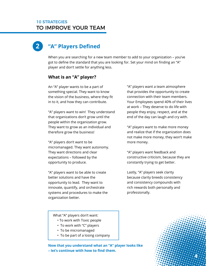#### **"A" Players Defined 2**

When you are searching for a new team member to add to your organization – you've got to define the standard that you are looking for. Set your mind on finding an "A" player and don't settle for anything less.

#### **What is an "A" player?**

An "A" player wants to be a part of something special. They want to know the vision of the business, where they fit in to it, and how they can contribute.

"A" players want to win! They understand that organizations don't grow until the people within the organization grow. They want to grow as an individual and therefore grow the business!

"A" players don't want to be micromanaged. They want autonomy. They want directions and clear expectations – followed by the opportunity to produce.

"A" players want to be able to create better solutions and have the opportunity to lead. They want to innovate, quantify, and orchestrate systems and procedures to make the organization better.

"A" players want a team atmosphere that provides the opportunity to create connection with their team members. Your Employees spend 40% of their lives at work – They deserve to do life with people they enjoy, respect, and at the end of the day can laugh and cry with.

"A" players want to make more money and realize that if the organization does not make more money, they won't make more money.

"A" players want feedback and constructive criticism, because they are constantly trying to get better.

Lastly, "A" players seek clarity because clarity breeds consistency and consistency compounds with rich rewards both personally and professionally.

What "A" players don't want:

- To work with Toxic people
- To work with "C" players
- To be micromanaged
- To be part of a losing company

**Now that you understand what an "A" player looks like – let's continue with how to find them.**

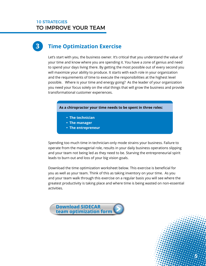# **3 Time Optimization Exercise**

Let's start with you, the business owner. It's critical that you understand the value of your time and know where you are spending it. You have a zone of genius and need to spend your days living there. By getting the most possible out of every second you will maximize your ability to produce. It starts with each role in your organization and the requirements of time to execute the responsibilities at the highest level possible. Where is your time and energy going? As the leader of your organization you need your focus solely on the vital things that will grow the business and provide transformational customer experiences.

 **As a chiropractor your time needs to be spent in three roles:**

- **The technician**
- **The manager**
- **The entrepreneur**

Spending too much time in technician-only mode strains your business. Failure to operate from the managerial role, results in your daily business operations slipping and your team not being led as they need to be. Starving the entrepreneurial spirit leads to burn out and loss of your big vision goals.

Download the time optimization worksheet below. This exercise is beneficial for you as well as your team. Think of this as taking inventory on your time. As you and your team walk through this exercise on a regular basis you will see where the greatest productivity is taking place and where time is being wasted on non-essential activities.



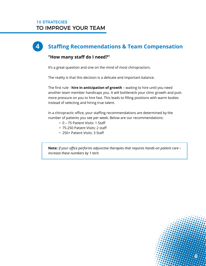# **4 Staffing Recommendations & Team Compensation**

#### **"How many staff do I need?"**

It's a great question and one on the mind of most chiropractors.

The reality is that this decision is a delicate and important balance.

The first rule - **hire in anticipation of growth** – waiting to hire until you need another team member handicaps you. It will bottleneck your clinic growth and puts more pressure on you to hire fast. This leads to filling positions with warm bodies instead of selecting and hiring true talent.

In a chiropractic office, your staffing recommendations are determined by the number of patients you see per week. Below are our recommendations:

- 0 75 Patient Visits: 1 Staff
- 75-250 Patient Visits: 2 staff
- 250+ Patient Visits: 3 Staff

**Note:** *If your office performs adjunctive therapies that requires hands-on patient care – increase these numbers by 1 tech.* 

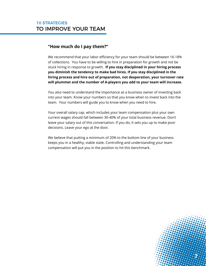#### **"How much do I pay them?"**

We recommend that your labor efficiency for your team should be between 16-18% of collections. You have to be willing to hire in preparation for growth and not be stuck hiring in response to growth. **If you stay disciplined in your hiring process you diminish the tendency to make bad hires. If you stay disciplined in the hiring process and hire out of preparation, not desperation, your turnover rate will plummet and the number of A-players you add to your team will increase.**

You also need to understand the importance as a business owner of investing back into your team. Know your numbers so that you know when to invest back into the team. Your numbers will guide you to know when you need to hire.

Your overall salary cap, which includes your team compensation plus your own current wages should fall between 30-40% of your total business revenue. Don't leave your salary out of this conversation. If you do, it sets you up to make poor decisions. Leave your ego at the door.

We believe that putting a minimum of 20% to the bottom line of your business keeps you in a healthy, viable state. Controlling and understanding your team compensation will put you in the position to hit this benchmark.

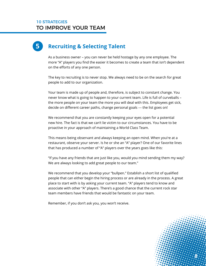# **5 Recruiting & Selecting Talent**

As a business owner – you can never be held hostage by any one employee. The more "A" players you find the easier it becomes to create a team that isn't dependent on the efforts of any one person.

The key to recruiting is to never stop. We always need to be on the search for great people to add to our organization.

Your team is made up of people and, therefore, is subject to constant change. You never know what is going to happen to your current team. Life is full of curveballs – the more people on your team the more you will deal with this. Employees get sick, decide on different career paths, change personal goals --- the list goes on!

We recommend that you are constantly keeping your eyes open for a potential new hire. The fact is that we can't lie victim to our circumstances. You have to be proactive in your approach of maintaining a World Class Team.

This means being observant and always keeping an open mind. When you're at a restaurant, observe your server. Is he or she an "A" player? One of our favorite lines that has produced a number of "A" players over the years goes like this:

"If you have any friends that are just like you, would you mind sending them my way? We are always looking to add great people to our team."

We recommend that you develop your "bullpen." Establish a short list of qualified people that can either begin the hiring process or are already in the process. A great place to start with is by asking your current team. "A" players tend to know and associate with other "A" players. There's a good chance that the current rock star team members have friends that would be fantastic on your team.

Remember, if you don't ask you, you won't receive.

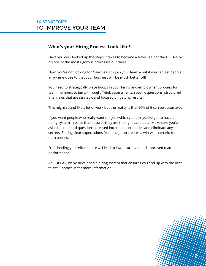#### **What's your Hiring Process Look Like?**

Have you ever looked up the steps it takes to become a Navy Seal for the U.S. Navy? It's one of the most rigorous processes out there.

Now, you're not looking for Navy Seals to join your team – but if you can get people anywhere close to that your business will be much better off!

You need to strategically place hoops in your hiring and employment process for team members to jump through. Think assessments, specific questions, structured interviews that are strategic and focused on getting results.

This might sound like a lot of work but the reality is that 90% of it can be automated.

If you want people who really want the job (which you do), you've got to have a hiring system in place that ensures they are the right candidate. Make sure you've asked all the hard questions, pressed into the uncertainties and eliminate any secrets. Setting clear expectations from the jump creates a win-win scenario for both parties.

Frontloading your efforts here will lead to lower turnover and improved team performance.

At SIDECAR, we've developed a hiring system that ensures you end up with the best talent. Contact us for more information.

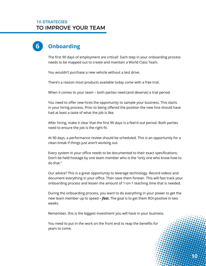## **6 Onboarding**

The first 90 days of employment are critical! Each step in your onboarding process needs to be mapped out to create and maintain a World Class Team.

You wouldn't purchase a new vehicle without a test drive.

There's a reason most products available today come with a free trial.

When it comes to your team – both parties need (and deserve) a trial period.

You need to offer new hires the opportunity to sample your business. This starts in your hiring process. Prior to being offered the position the new hire should have had at least a taste of what the job is like.

After hiring, make it clear that the first 90 days is a feel-it-out period. Both parties need to ensure the job is the right fit.

At 90 days, a performance review should be scheduled. This is an opportunity for a clean break if things just aren't working out.

Every system in your office needs to be documented to their exact specifications. Don't be held hostage by one team member who is the "only one who know how to do that."

Our advice? This is a great opportunity to leverage technology. Record videos and document everything in your office. Then save them forever. This will fast track your onboarding process and lessen the amount of 1-on-1 teaching time that is needed.

During the onboarding process, you want to do everything in your power to get the new team member up to speed *– fast.* The goal is to get them ROI-positive in two weeks.

Remember, this is the biggest investment you will have in your business.

You need to put in the work on the front end to reap the benefits for years to come.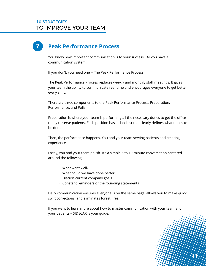# **7 Peak Performance Process**

You know how important communication is to your success. Do you have a communication system?

If you don't, you need one -- The Peak Performance Process.

The Peak Performance Process replaces weekly and monthly staff meetings. It gives your team the ability to communicate real-time and encourages everyone to get better every shift.

There are three components to the Peak Performance Process: Preparation, Performance, and Polish.

Preparation is where your team is performing all the necessary duties to get the office ready to serve patients. Each position has a checklist that clearly defines what needs to be done.

Then, the performance happens. You and your team serving patients and creating experiences.

Lastly, you and your team polish. It's a simple 5 to 10-minute conversation centered around the following:

- What went well?
- What could we have done better?
- Discuss current company goals
- Constant reminders of the founding statements

Daily communication ensures everyone is on the same page, allows you to make quick, swift corrections, and eliminates forest fires.

 $\cdot 11$ 

If you want to learn more about how to master communication with your team and your patients – SIDECAR is your guide.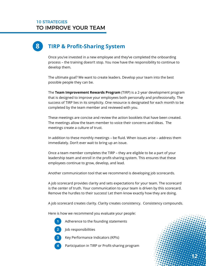# **8 TIRP & Profit-Sharing System**

Once you've invested in a new employee and they've completed the onboarding process – the training doesn't stop. You now have the responsibility to continue to develop them.

The ultimate goal? We want to create leaders. Develop your team into the best possible people they can be.

The **Team Improvement Rewards Program** (TIRP) is a 2-year development program that is designed to improve your employees both personally and professionally. The success of TIRP lies in its simplicity. One resource is designated for each month to be completed by the team member and reviewed with you.

These meetings are concise and review the action booklets that have been created. The meetings allow the team member to voice their concerns and ideas. The meetings create a culture of trust.

In addition to these monthly meetings – be fluid. When issues arise – address them immediately. Don't ever wait to bring up an issue.

Once a team member completes the TIRP – they are eligible to be a part of your leadership team and enroll in the profit-sharing system. This ensures that these employees continue to grow, develop, and lead.

Another communication tool that we recommend is developing job scorecards.

A job scorecard provides clarity and sets expectations for your team. The scorecard is the center of truth. Your communication to your team is driven by this scorecard. Remove the hurdles to their success! Let them know exactly how they are doing.

A job scorecard creates clarity. Clarity creates consistency. Consistency compounds.

 **12**

Here is how we recommend you evaluate your people:

- **1** Adherence to the founding statements
- **2** Job responsibilities
- **3** Key Performance Indicators (KPIs)
- **4** Participation in TIRP or Profit-sharing program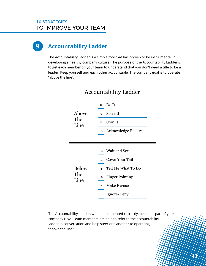### **9 Accountability Ladder**

The Accountability Ladder is a simple tool that has proven to be instrumental in developing a healthy company culture. The purpose of the Accountability Ladder is to get each member on your team to understand that you don't need a title to be a leader. Keep yourself and each other accountable. The company goal is to operate "above the line".

| Above<br>The<br>Line |                  | 10. Do It                  |  |
|----------------------|------------------|----------------------------|--|
|                      | 9.               | Solve It                   |  |
|                      | 8.               | Own It                     |  |
|                      | 7.               | <b>Acknowledge Reality</b> |  |
|                      |                  |                            |  |
|                      |                  |                            |  |
| <b>Below</b>         |                  | 6. Wait and See            |  |
|                      | 5.               | Cover Your Tail            |  |
|                      |                  |                            |  |
|                      | 4.               | Tell Me What To Do         |  |
| The                  | 3.               | <b>Finger Pointing</b>     |  |
| Line                 | $\overline{2}$ . | <b>Make Excuses</b>        |  |

#### Accountability Ladder

The Accountability Ladder, when implemented correctly, becomes part of your company DNA. Team members are able to refer to the accountability ladder in conversation and help steer one another to operating "above the line."